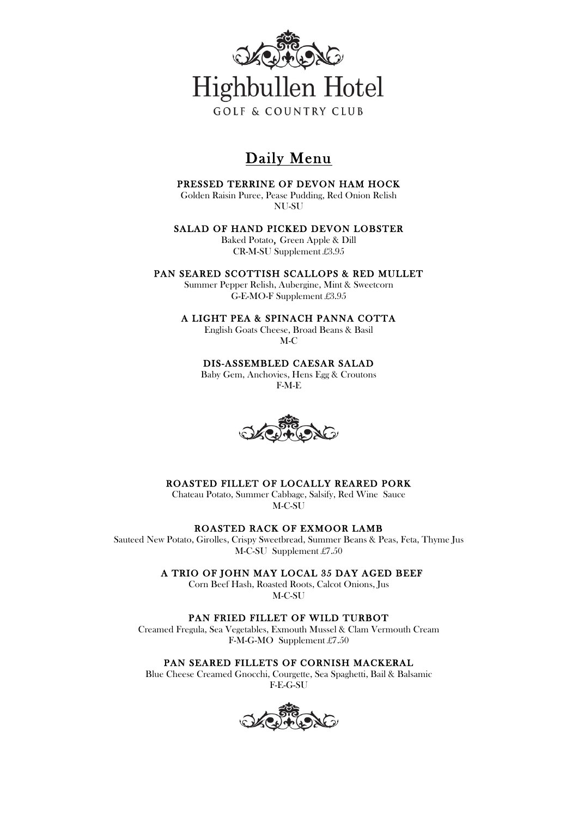

# Daily Menu

### PRESSED TERRINE OF DEVON HAM HOCK

Golden Raisin Puree, Pease Pudding, Red Onion Relish NU-SU

### SALAD OF HAND PICKED DEVON LOBSTER

Baked Potato, Green Apple & Dill CR-M-SU Supplement £3.95

### PAN SEARED SCOTTISH SCALLOPS & RED MULLET

Summer Pepper Relish, Aubergine, Mint & Sweetcorn G-E-MO-F Supplement £3.95

#### A LIGHT PEA & SPINACH PANNA COTTA

English Goats Cheese, Broad Beans & Basil M-C

DIS-ASSEMBLED CAESAR SALAD

Baby Gem, Anchovies, Hens Egg & Croutons F-M-E



## ROASTED FILLET OF LOCALLY REARED PORK

Chateau Potato, Summer Cabbage, Salsify, Red Wine Sauce M-C-SU

### ROASTED RACK OF EXMOOR LAMB

Sauteed New Potato, Girolles, Crispy Sweetbread, Summer Beans & Peas, Feta, Thyme Jus M-C-SU Supplement £7.50

A TRIO OF JOHN MAY LOCAL 35 DAY AGED BEEF

Corn Beef Hash, Roasted Roots, Calcot Onions, Jus M-C-SU

PAN FRIED FILLET OF WILD TURBOT

Creamed Fregula, Sea Vegetables, Exmouth Mussel & Clam Vermouth Cream F-M-G-MO Supplement £7.50

## PAN SEARED FILLETS OF CORNISH MACKERAL

Blue Cheese Creamed Gnocchi, Courgette, Sea Spaghetti, Bail & Balsamic F-E-G-SU